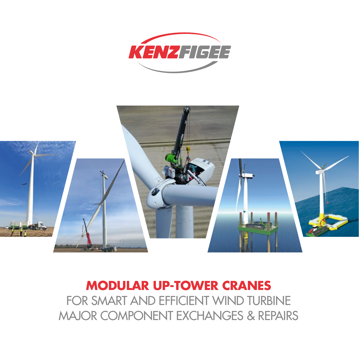



# **MODULAR UP-TOWER CRANES**  FOR SMART AND EFFICIENT WIND TURBINE MAJOR COMPONENT EXCHANGES & REPAIRS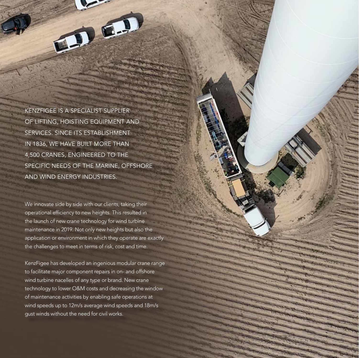KENZFIGEE IS A SPECIALIST SUPPLIER OF LIFTING, HOISTING EQUIPMENT AND SERVICES. SINCE ITS ESTABLISHMENT IN 1836, WE HAVE BUILT MORE THAN 4,500 CRANES, ENGINEERED TO THE SPECIFIC NEEDS OF THE MARINE, OFFSHORE AND WIND ENERGY INDUSTRIES.

一

We innovate side by side with our clients, taking their operational efficiency to new heights. This resulted in the launch of new crane technology for wind turbine maintenance in 2019. Not only new heights but also the application or environment in which they operate are exactly the challenges to meet in terms of risk, cost and time.

KenzFigee has developed an ingenious modular crane range to facilitate major component repairs in on- and offshore wind turbine nacelles of any type or brand. New crane technology to lower O&M costs and decreasing the window of maintenance activities by enabling safe operations at wind speeds up to 12m/s average wind speeds and 18m/s gust winds without the need for civil works.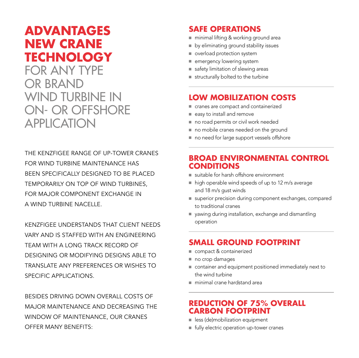## **ADVANTAGES NEW CRANE TECHNOLOGY**

FOR ANY TYPE OR BRAND WIND TURBINE IN ON- OR OFFSHORE **APPLICATION** 

THE KENZFIGEE RANGE OF UP-TOWER CRANES FOR WIND TURBINE MAINTENANCE HAS BEEN SPECIFICALLY DESIGNED TO BE PLACED TEMPORARILY ON TOP OF WIND TURBINES, FOR MAJOR COMPONENT EXCHANGE IN A WIND TURBINE NACELLE.

KENZFIGEE UNDERSTANDS THAT CLIENT NEEDS VARY AND IS STAFFED WITH AN ENGINEERING TEAM WITH A LONG TRACK RECORD OF DESIGNING OR MODIFYING DESIGNS ABLE TO TRANSLATE ANY PREFERENCES OR WISHES TO SPECIFIC APPLICATIONS.

BESIDES DRIVING DOWN OVERALL COSTS OF MAJOR MAINTENANCE AND DECREASING THE WINDOW OF MAINTENANCE, OUR CRANES OFFER MANY BENEFITS:

### **SAFE OPERATIONS**

- minimal lifting & working ground area
- by eliminating ground stability issues
- overload protection system
- emergency lowering system
- safety limitation of slewing areas
- structurally bolted to the turbine

### **LOW MOBILIZATION COSTS**

- cranes are compact and containerized
- easy to install and remove
- no road permits or civil work needed
- no mobile cranes needed on the ground
- no need for large support vessels offshore

### **BROAD ENVIRONMENTAL CONTROL CONDITIONS**

- suitable for harsh offshore environment
- high operable wind speeds of up to 12 m/s average and 18 m/s gust winds
- superior precision during component exchanges, compared to traditional cranes
- yawing during installation, exchange and dismantling operation

### **SMALL GROUND FOOTPRINT**

- compact & containerized
- no crop damages
- container and equipment positioned immediately next to the wind turbine
- minimal crane hardstand area

#### **REDUCTION OF 75% OVERALL CARBON FOOTPRINT**

- less (de)mobilization equipment
- fully electric operation up-tower cranes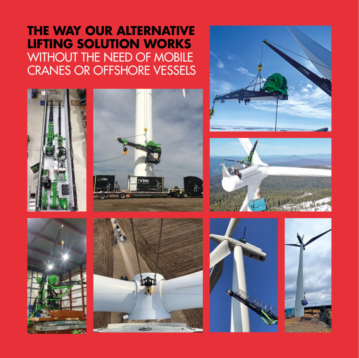## **THE WAY OUR ALTERNATIVE LIFTING SOLUTION WORKS** WITHOUT THE NEED OF MOBILE CRANES OR OFFSHORE VESSELS

















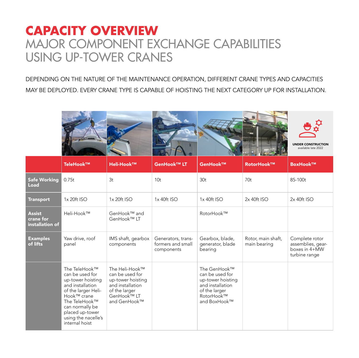## **CAPACITY OVERVIEW**  MAJOR COMPONENT EXCHANGE CAPABILITIES USING UP-TOWER CRANES

DEPENDING ON THE NATURE OF THE MAINTENANCE OPERATION, DIFFERENT CRANE TYPES AND CAPACITIES MAY BE DEPLOYED. EVERY CRANE TYPE IS CAPABLE OF HOISTING THE NEXT CATEGORY UP FOR INSTALLATION.

|      |           |                   |                 |          |            | $\overline{\mathsf{v}}$ သု<br><b>UNDER CONSTRUCTION</b><br>available late 2022 |
|------|-----------|-------------------|-----------------|----------|------------|--------------------------------------------------------------------------------|
|      | TeleHook™ | <b>Heli-Hook™</b> | GenHook™ LT     | GenHook™ | RotorHook™ | BoxHook™                                                                       |
| cing | 0.75t     | 3t                | 10 <sub>t</sub> | 30t      | 70t        | 85-100t                                                                        |

| <b>Safe Working</b><br>Load                   | 0.75t                                                                                                                                                                                                           | 3 <sub>t</sub>                                                                                                             | 10 <sub>t</sub>                                       | 30 <sub>t</sub>                                                                                                         | 70 <sub>t</sub>                    | 85-100t                                                               |
|-----------------------------------------------|-----------------------------------------------------------------------------------------------------------------------------------------------------------------------------------------------------------------|----------------------------------------------------------------------------------------------------------------------------|-------------------------------------------------------|-------------------------------------------------------------------------------------------------------------------------|------------------------------------|-----------------------------------------------------------------------|
| <b>Transport</b>                              | $1x 20$ ft ISO                                                                                                                                                                                                  | $1x 20$ ft ISO                                                                                                             | $1x$ 40ft ISO                                         | $1x$ 40ft ISO                                                                                                           | $2x 40$ ft ISO                     | $2x 40$ ft ISO                                                        |
| <b>Assist</b><br>crane for<br>installation of | Heli-Hook™                                                                                                                                                                                                      | GenHook™ and<br>GenHook™ LT                                                                                                |                                                       | RotorHook™                                                                                                              |                                    |                                                                       |
| <b>Examples</b><br>of lifts                   | Yaw drive, roof<br>panel                                                                                                                                                                                        | IMS shaft, gearbox<br>components                                                                                           | Generators, trans-<br>formers and small<br>components | Gearbox, blade,<br>generator, blade<br>bearing                                                                          | Rotor, main shaft,<br>main bearing | Complete rotor<br>assemblies, gear-<br>boxes in 4+MW<br>turbine range |
|                                               | The TeleHook™<br>can be used for<br>up-tower hoisting<br>and installation<br>of the larger Heli-<br>Hook™ crane<br>The TeleHook™<br>can normally be<br>placed up-tower<br>using the nacelle's<br>internal hoist | The Heli-Hook™<br>can be used for<br>up-tower hoisting<br>and installation<br>of the larger<br>GenHook™ LT<br>and GenHook™ |                                                       | The GenHook™<br>can be used for<br>up-tower hoisting<br>and installation<br>of the larger<br>RotorHook™<br>and BoxHook™ |                                    |                                                                       |